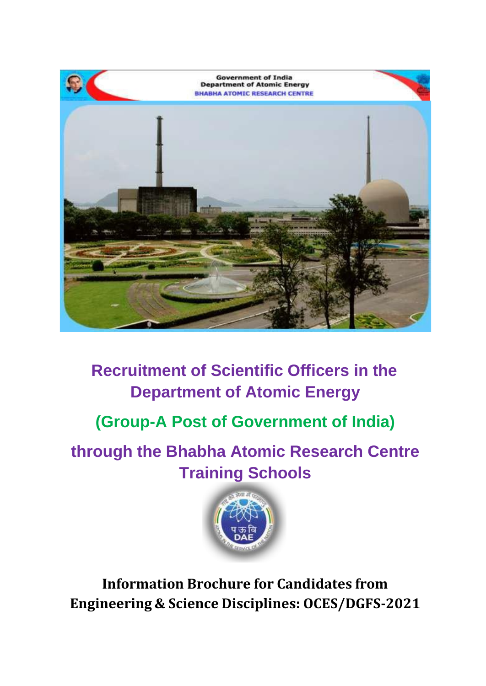

# **Recruitment of Scientific Officers in the Department of Atomic Energy**

# **(Group-A Post of Government of India)**

**through the Bhabha Atomic Research Centre Training Schools**



**Information Brochure for Candidates from Engineering & Science Disciplines: OCES/DGFS-2021**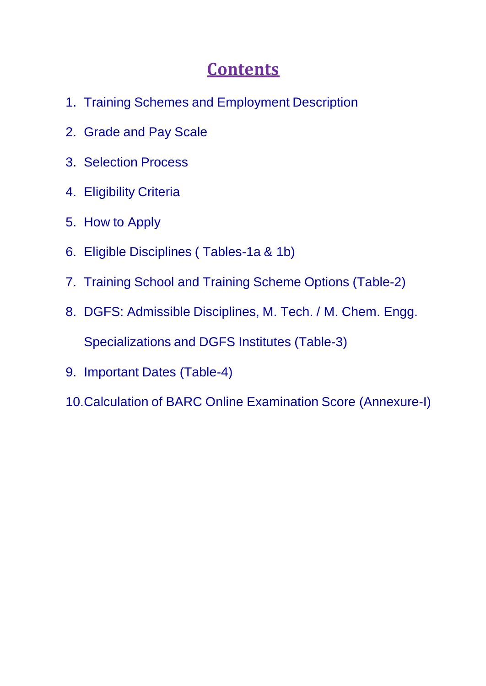# **Contents**

- 1. Training Schemes and Employment Description
- 2. Grade and Pay Scale
- 3. Selection Process
- 4. Eligibility Criteria
- 5. How to Apply
- 6. Eligible Disciplines ( Tables-1a & 1b)
- 7. Training School and Training Scheme Options (Table-2)
- 8. DGFS: Admissible Disciplines, M. Tech. / M. Chem. Engg. Specializations and DGFS Institutes (Table-3)
- 9. Important Dates (Table-4)
- 10.Calculation of BARC Online Examination Score (Annexure-I)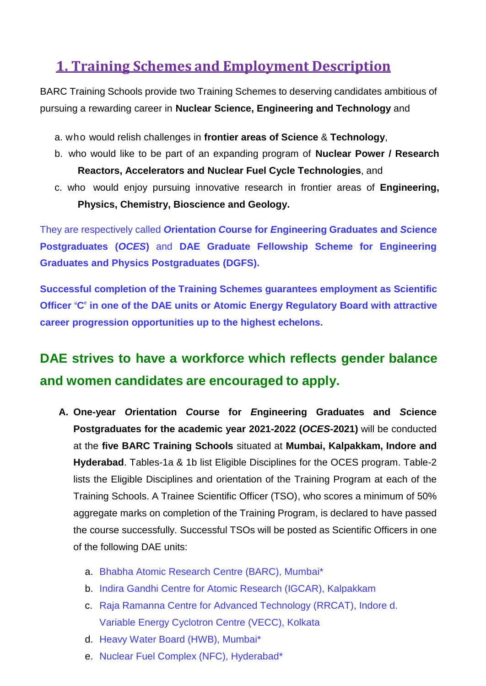## **1. Training Schemes and Employment Description**

BARC Training Schools provide two Training Schemes to deserving candidates ambitious of pursuing a rewarding career in **Nuclear Science, Engineering and Technology** and

- a. who would relish challenges in **frontier areas of Science** & **Technology**,
- b. who would like to be part of an expanding program of **Nuclear Power / Research Reactors, Accelerators and Nuclear Fuel Cycle Technologies**, and
- c. who would enjoy pursuing innovative research in frontier areas of **Engineering, Physics, Chemistry, Bioscience and Geology.**

They are respectively called *O***rientation** *C***ourse for** *E***ngineering Graduates and** *S***cience Postgraduates (***OCES***)** and **DAE Graduate Fellowship Scheme for Engineering Graduates and Physics Postgraduates (DGFS).**

**Successful completion of the Training Schemes guarantees employment as Scientific Officer "C" in one of the DAE units or Atomic Energy Regulatory Board with attractive career progression opportunities up to the highest echelons.**

# **DAE strives to have a workforce which reflects gender balance and women candidates are encouraged to apply.**

- **A. One-year** *O***rientation** *C***ourse for** *E***ngineering Graduates and** *S***cience Postgraduates for the academic year 2021-2022 (***OCES***-2021)** will be conducted at the **five BARC Training Schools** situated at **Mumbai, Kalpakkam, Indore and Hyderabad**. Tables-1a & 1b list Eligible Disciplines for the OCES program. Table-2 lists the Eligible Disciplines and orientation of the Training Program at each of the Training Schools. A Trainee Scientific Officer (TSO), who scores a minimum of 50% aggregate marks on completion of the Training Program, is declared to have passed the course successfully. Successful TSOs will be posted as Scientific Officers in one of the following DAE units:
	- a. Bhabha Atomic Research Centre (BARC), Mumbai\*
	- b. Indira Gandhi Centre for Atomic Research (IGCAR), Kalpakkam
	- c. Raja Ramanna Centre for Advanced Technology (RRCAT), Indore d. Variable Energy Cyclotron Centre (VECC), Kolkata
	- d. Heavy Water Board (HWB), Mumbai\*
	- e. Nuclear Fuel Complex (NFC), Hyderabad\*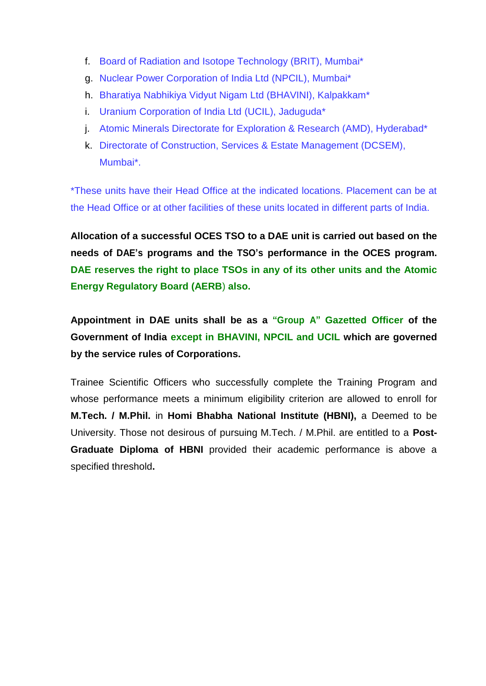- f. Board of Radiation and Isotope Technology (BRIT), Mumbai\*
- g. Nuclear Power Corporation of India Ltd (NPCIL), Mumbai\*
- h. Bharatiya Nabhikiya Vidyut Nigam Ltd (BHAVINI), Kalpakkam\*
- i. Uranium Corporation of India Ltd (UCIL), Jaduguda\*
- j. Atomic Minerals Directorate for Exploration & Research (AMD), Hyderabad\*
- k. Directorate of Construction, Services & Estate Management (DCSEM), Mumbai\*.

\*These units have their Head Office at the indicated locations. Placement can be at the Head Office or at other facilities of these units located in different parts of India.

**Allocation of a successful OCES TSO to a DAE unit is carried out based on the needs of DAE's programs and the TSO's performance in the OCES program. DAE reserves the right to place TSOs in any of its other units and the Atomic Energy Regulatory Board (AERB**) **also.**

**Appointment in DAE units shall be as a "Group A" Gazetted Officer of the Government of India except in BHAVINI, NPCIL and UCIL which are governed by the service rules of Corporations.**

Trainee Scientific Officers who successfully complete the Training Program and whose performance meets a minimum eligibility criterion are allowed to enroll for **M.Tech. / M.Phil.** in **Homi Bhabha National Institute (HBNI),** a Deemed to be University. Those not desirous of pursuing M.Tech. / M.Phil. are entitled to a **Post-Graduate Diploma of HBNI** provided their academic performance is above a specified threshold**.**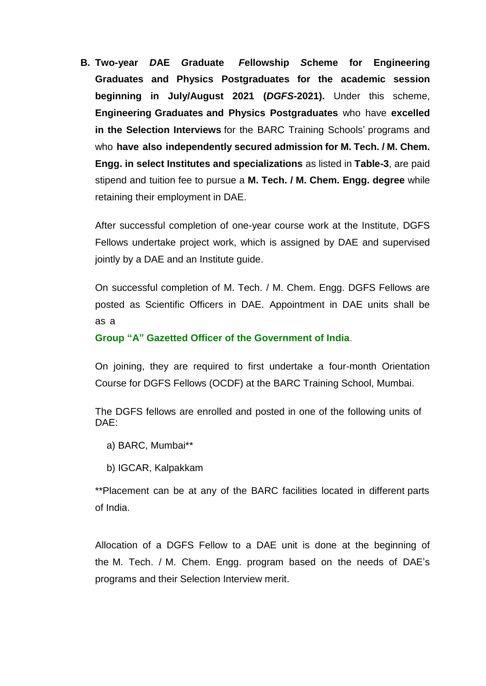**B. Two-year** *D***AE** *G***raduate** *F***ellowship** *S***cheme for Engineering Graduates and Physics Postgraduates for the academic session beginning in July/August 2021 (***DGFS***-2021).** Under this scheme, **Engineering Graduates and Physics Postgraduates** who have **excelled in the Selection Interviews** for the BARC Training Schools' programs and who **have also independently secured admission for M. Tech. / M. Chem. Engg. in select Institutes and specializations** as listed in **Table-3**, are paid stipend and tuition fee to pursue a **M. Tech. / M. Chem. Engg. degree** while retaining their employment in DAE.

After successful completion of one-year course work at the Institute, DGFS Fellows undertake project work, which is assigned by DAE and supervised jointly by a DAE and an Institute guide.

On successful completion of M. Tech. / M. Chem. Engg. DGFS Fellows are posted as Scientific Officers in DAE. Appointment in DAE units shall be as a

**Group "A" Gazetted Officer of the Government of India**.

On joining, they are required to first undertake a four-month Orientation Course for DGFS Fellows (OCDF) at the BARC Training School, Mumbai.

The DGFS fellows are enrolled and posted in one of the following units of DAE:

- a) BARC, Mumbai\*\*
- b) IGCAR, Kalpakkam

\*\*Placement can be at any of the BARC facilities located in different parts of India.

Allocation of a DGFS Fellow to a DAE unit is done at the beginning of the M. Tech. / M. Chem. Engg. program based on the needs of DAE's programs and their Selection Interview merit.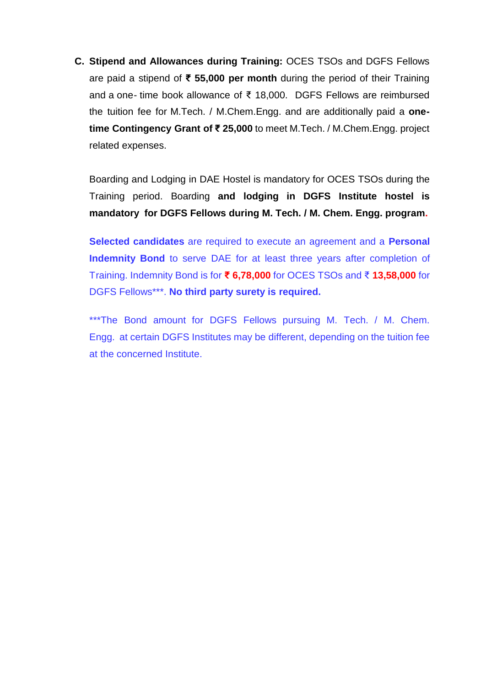**C. Stipend and Allowances during Training:** OCES TSOs and DGFS Fellows are paid a stipend of **₹ 55,000 per month** during the period of their Training and a one- time book allowance of ₹ 18,000. DGFS Fellows are reimbursed the tuition fee for M.Tech. / M.Chem.Engg. and are additionally paid a **onetime Contingency Grant of ₹ 25,000** to meet M.Tech. / M.Chem.Engg. project related expenses.

Boarding and Lodging in DAE Hostel is mandatory for OCES TSOs during the Training period. Boarding **and lodging in DGFS Institute hostel is mandatory for DGFS Fellows during M. Tech. / M. Chem. Engg. program.**

**Selected candidates** are required to execute an agreement and a **Personal Indemnity Bond** to serve DAE for at least three years after completion of Training. Indemnity Bond is for **₹ 6,78,000** for OCES TSOs and ₹ **13,58,000** for DGFS Fellows\*\*\*. **No third party surety is required.**

\*\*\*The Bond amount for DGFS Fellows pursuing M. Tech. / M. Chem. Engg. at certain DGFS Institutes may be different, depending on the tuition fee at the concerned Institute.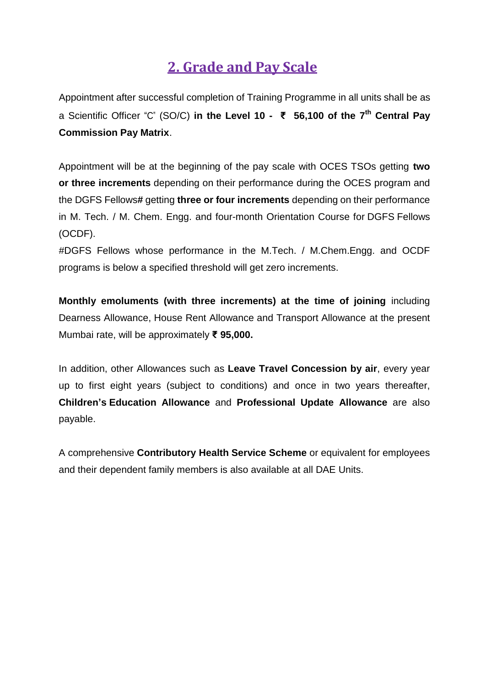## **2. Grade and Pay Scale**

Appointment after successful completion of Training Programme in all units shall be as a Scientific Officer "C" (SO/C) **in the Level 10 - ₹ 56,100 of the 7 th Central Pay Commission Pay Matrix**.

Appointment will be at the beginning of the pay scale with OCES TSOs getting **two or three increments** depending on their performance during the OCES program and the DGFS Fellows**#** getting **three or four increments** depending on their performance in M. Tech. / M. Chem. Engg. and four-month Orientation Course for DGFS Fellows (OCDF).

#DGFS Fellows whose performance in the M.Tech. / M.Chem.Engg. and OCDF programs is below a specified threshold will get zero increments.

**Monthly emoluments (with three increments) at the time of joining** including Dearness Allowance, House Rent Allowance and Transport Allowance at the present Mumbai rate, will be approximately **₹ 95,000.**

In addition, other Allowances such as **Leave Travel Concession by air**, every year up to first eight years (subject to conditions) and once in two years thereafter, **Children's Education Allowance** and **Professional Update Allowance** are also payable.

A comprehensive **Contributory Health Service Scheme** or equivalent for employees and their dependent family members is also available at all DAE Units.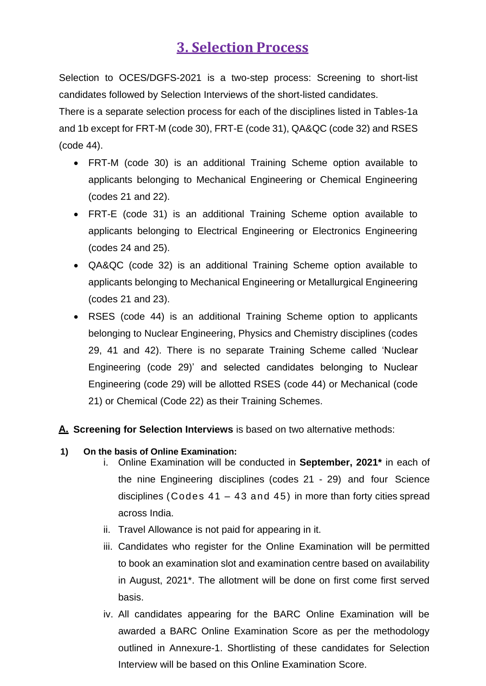## **3. Selection Process**

Selection to OCES/DGFS-2021 is a two-step process: Screening to short-list candidates followed by Selection Interviews of the short-listed candidates.

There is a separate selection process for each of the disciplines listed in Tables-1a and 1b except for FRT-M (code 30), FRT-E (code 31), QA&QC (code 32) and RSES (code 44).

- FRT-M (code 30) is an additional Training Scheme option available to applicants belonging to Mechanical Engineering or Chemical Engineering (codes 21 and 22).
- FRT-E (code 31) is an additional Training Scheme option available to applicants belonging to Electrical Engineering or Electronics Engineering (codes 24 and 25).
- QA&QC (code 32) is an additional Training Scheme option available to applicants belonging to Mechanical Engineering or Metallurgical Engineering (codes 21 and 23).
- RSES (code 44) is an additional Training Scheme option to applicants belonging to Nuclear Engineering, Physics and Chemistry disciplines (codes 29, 41 and 42). There is no separate Training Scheme called 'Nuclear Engineering (code 29)' and selected candidates belonging to Nuclear Engineering (code 29) will be allotted RSES (code 44) or Mechanical (code 21) or Chemical (Code 22) as their Training Schemes.

**A. Screening for Selection Interviews** is based on two alternative methods:

#### **1) On the basis of Online Examination:**

- i. Online Examination will be conducted in **September, 2021\*** in each of the nine Engineering disciplines (codes 21 - 29) and four Science disciplines (Codes  $41 - 43$  and  $45$ ) in more than forty cities spread across India.
- ii. Travel Allowance is not paid for appearing in it.
- iii. Candidates who register for the Online Examination will be permitted to book an examination slot and examination centre based on availability in August, 2021\*. The allotment will be done on first come first served basis.
- iv. All candidates appearing for the BARC Online Examination will be awarded a BARC Online Examination Score as per the methodology outlined in Annexure-1. Shortlisting of these candidates for Selection Interview will be based on this Online Examination Score.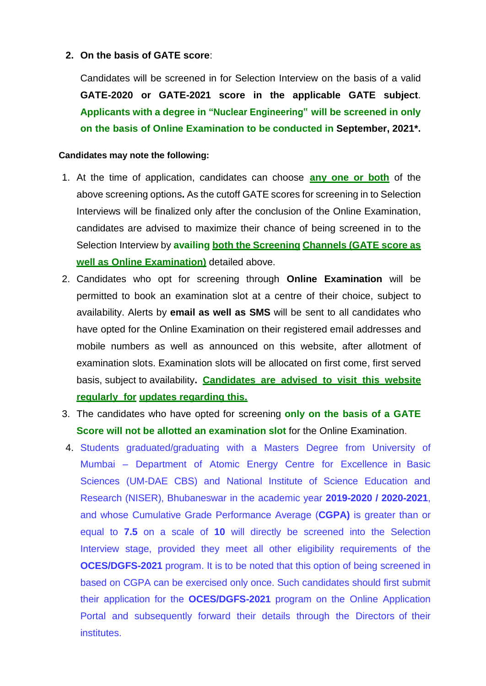#### **2. On the basis of GATE score**:

Candidates will be screened in for Selection Interview on the basis of a valid **GATE-2020 or GATE-2021 score in the applicable GATE subject**. **Applicants with a degree in "Nuclear Engineering" will be screened in only on the basis of Online Examination to be conducted in September, 2021\*.**

#### **Candidates may note the following:**

- 1. At the time of application, candidates can choose **any one or both** of the above screening options**.** As the cutoff GATE scores for screening in to Selection Interviews will be finalized only after the conclusion of the Online Examination, candidates are advised to maximize their chance of being screened in to the Selection Interview by **availing both the Screening Channels (GATE score as well as Online Examination)** detailed above.
- 2. Candidates who opt for screening through **Online Examination** will be permitted to book an examination slot at a centre of their choice, subject to availability. Alerts by **email as well as SMS** will be sent to all candidates who have opted for the Online Examination on their registered email addresses and mobile numbers as well as announced on this website, after allotment of examination slots. Examination slots will be allocated on first come, first served basis, subject to availability**. Candidates are advised to visit this website regularly for updates regarding this.**
- 3. The candidates who have opted for screening **only on the basis of a GATE Score will not be allotted an examination slot** for the Online Examination.
- 4. Students graduated/graduating with a Masters Degree from University of Mumbai – Department of Atomic Energy Centre for Excellence in Basic Sciences (UM-DAE CBS) and National Institute of Science Education and Research (NISER), Bhubaneswar in the academic year **2019-2020 / 2020-2021**, and whose Cumulative Grade Performance Average (**CGPA)** is greater than or equal to **7.5** on a scale of **10** will directly be screened into the Selection Interview stage, provided they meet all other eligibility requirements of the **OCES/DGFS-2021** program. It is to be noted that this option of being screened in based on CGPA can be exercised only once. Such candidates should first submit their application for the **OCES/DGFS-2021** program on the Online Application Portal and subsequently forward their details through the Directors of their institutes.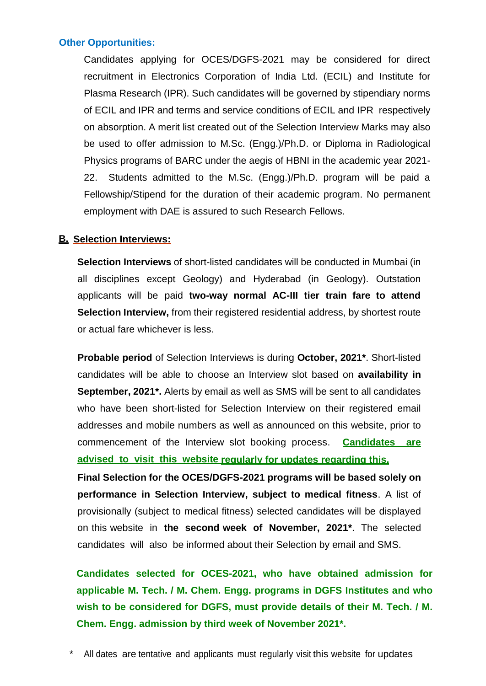#### **Other Opportunities:**

Candidates applying for OCES/DGFS-2021 may be considered for direct recruitment in Electronics Corporation of India Ltd. (ECIL) and Institute for Plasma Research (IPR). Such candidates will be governed by stipendiary norms of ECIL and IPR and terms and service conditions of ECIL and IPR respectively on absorption. A merit list created out of the Selection Interview Marks may also be used to offer admission to M.Sc. (Engg.)/Ph.D. or Diploma in Radiological Physics programs of BARC under the aegis of HBNI in the academic year 2021- 22. Students admitted to the M.Sc. (Engg.)/Ph.D. program will be paid a Fellowship/Stipend for the duration of their academic program. No permanent employment with DAE is assured to such Research Fellows.

#### **B. Selection Interviews:**

**Selection Interviews** of short-listed candidates will be conducted in Mumbai (in all disciplines except Geology) and Hyderabad (in Geology). Outstation applicants will be paid **two-way normal AC-III tier train fare to attend Selection Interview,** from their registered residential address, by shortest route or actual fare whichever is less.

**Probable period** of Selection Interviews is during **October, 2021\***. Short-listed candidates will be able to choose an Interview slot based on **availability in September, 2021\*.** Alerts by email as well as SMS will be sent to all candidates who have been short-listed for Selection Interview on their registered email addresses and mobile numbers as well as announced on this website, prior to commencement of the Interview slot booking process. **Candidates are advised to visit this website regularly for updates regarding this.**

**Final Selection for the OCES/DGFS-2021 programs will be based solely on performance in Selection Interview, subject to medical fitness**. A list of provisionally (subject to medical fitness) selected candidates will be displayed on this website in **the second week of November, 2021\***. The selected candidates will also be informed about their Selection by email and SMS.

**Candidates selected for OCES-2021, who have obtained admission for applicable M. Tech. / M. Chem. Engg. programs in DGFS Institutes and who wish to be considered for DGFS, must provide details of their M. Tech. / M. Chem. Engg. admission by third week of November 2021\*.**

All dates are tentative and applicants must regularly visit this website for updates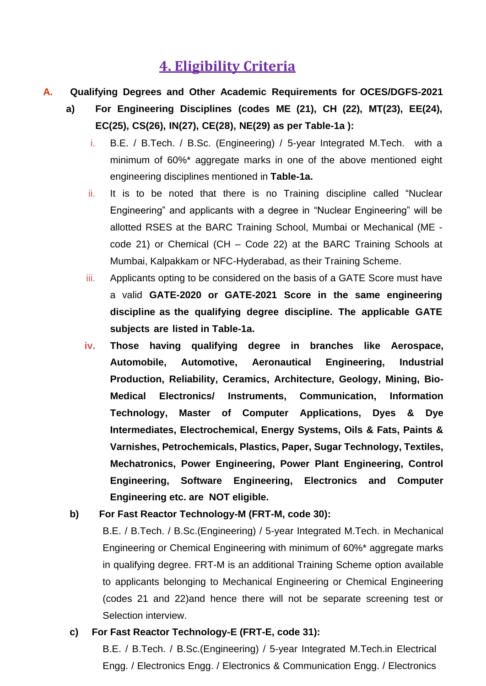## **4. Eligibility Criteria**

- **A. Qualifying Degrees and Other Academic Requirements for OCES/DGFS-2021**
	- **a) For Engineering Disciplines (codes ME (21), CH (22), MT(23), EE(24), EC(25), CS(26), IN(27), CE(28), NE(29) as per Table-1a ):**
		- i. B.E. / B.Tech. / B.Sc. (Engineering) / 5-year Integrated M.Tech. with a minimum of 60%\* aggregate marks in one of the above mentioned eight engineering disciplines mentioned in **Table-1a.**
		- ii. It is to be noted that there is no Training discipline called "Nuclear Engineering" and applicants with a degree in "Nuclear Engineering" will be allotted RSES at the BARC Training School, Mumbai or Mechanical (ME code 21) or Chemical (CH – Code 22) at the BARC Training Schools at Mumbai, Kalpakkam or NFC-Hyderabad, as their Training Scheme.
		- iii. Applicants opting to be considered on the basis of a GATE Score must have a valid **GATE-2020 or GATE-2021 Score in the same engineering discipline as the qualifying degree discipline. The applicable GATE subjects are listed in Table-1a.**
		- **iv. Those having qualifying degree in branches like Aerospace, Automobile, Automotive, Aeronautical Engineering, Industrial Production, Reliability, Ceramics, Architecture, Geology, Mining, Bio-Medical Electronics/ Instruments, Communication, Information Technology, Master of Computer Applications, Dyes & Dye Intermediates, Electrochemical, Energy Systems, Oils & Fats, Paints & Varnishes, Petrochemicals, Plastics, Paper, Sugar Technology, Textiles, Mechatronics, Power Engineering, Power Plant Engineering, Control Engineering, Software Engineering, Electronics and Computer Engineering etc. are NOT eligible.**
	- **b) For Fast Reactor Technology-M (FRT-M, code 30):**

B.E. / B.Tech. / B.Sc.(Engineering) / 5-year Integrated M.Tech. in Mechanical Engineering or Chemical Engineering with minimum of 60%\* aggregate marks in qualifying degree. FRT-M is an additional Training Scheme option available to applicants belonging to Mechanical Engineering or Chemical Engineering (codes 21 and 22)and hence there will not be separate screening test or Selection interview.

#### **c) For Fast Reactor Technology-E (FRT-E, code 31):**

B.E. / B.Tech. / B.Sc.(Engineering) / 5-year Integrated M.Tech.in Electrical Engg. / Electronics Engg. / Electronics & Communication Engg. / Electronics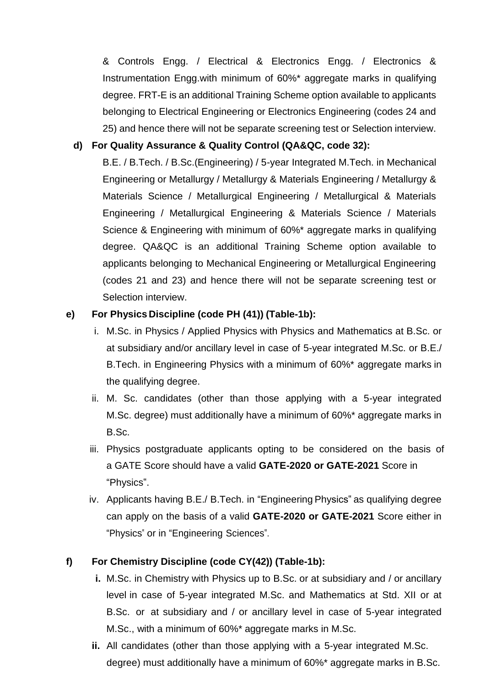& Controls Engg. / Electrical & Electronics Engg. / Electronics & Instrumentation Engg.with minimum of 60%\* aggregate marks in qualifying degree. FRT-E is an additional Training Scheme option available to applicants belonging to Electrical Engineering or Electronics Engineering (codes 24 and 25) and hence there will not be separate screening test or Selection interview.

### **d) For Quality Assurance & Quality Control (QA&QC, code 32):**

B.E. / B.Tech. / B.Sc.(Engineering) / 5-year Integrated M.Tech. in Mechanical Engineering or Metallurgy / Metallurgy & Materials Engineering / Metallurgy & Materials Science / Metallurgical Engineering / Metallurgical & Materials Engineering / Metallurgical Engineering & Materials Science / Materials Science & Engineering with minimum of 60%\* aggregate marks in qualifying degree. QA&QC is an additional Training Scheme option available to applicants belonging to Mechanical Engineering or Metallurgical Engineering (codes 21 and 23) and hence there will not be separate screening test or Selection interview.

### **e) For Physics Discipline (code PH (41)) (Table-1b):**

- i. M.Sc. in Physics / Applied Physics with Physics and Mathematics at B.Sc. or at subsidiary and/or ancillary level in case of 5-year integrated M.Sc. or B.E./ B.Tech. in Engineering Physics with a minimum of 60%\* aggregate marks in the qualifying degree.
- ii. M. Sc. candidates (other than those applying with a 5-year integrated M.Sc. degree) must additionally have a minimum of 60%\* aggregate marks in B.Sc.
- iii. Physics postgraduate applicants opting to be considered on the basis of a GATE Score should have a valid **GATE-2020 or GATE-2021** Score in "Physics".
- iv. Applicants having B.E./ B.Tech. in "Engineering Physics" as qualifying degree can apply on the basis of a valid **GATE-2020 or GATE-2021** Score either in "Physics" or in "Engineering Sciences".

### **f) For Chemistry Discipline (code CY(42)) (Table-1b):**

- **i.** M.Sc. in Chemistry with Physics up to B.Sc. or at subsidiary and / or ancillary level in case of 5-year integrated M.Sc. and Mathematics at Std. XII or at B.Sc. or at subsidiary and / or ancillary level in case of 5-year integrated M.Sc., with a minimum of 60%\* aggregate marks in M.Sc.
- **ii.** All candidates (other than those applying with a 5-year integrated M.Sc. degree) must additionally have a minimum of 60%\* aggregate marks in B.Sc.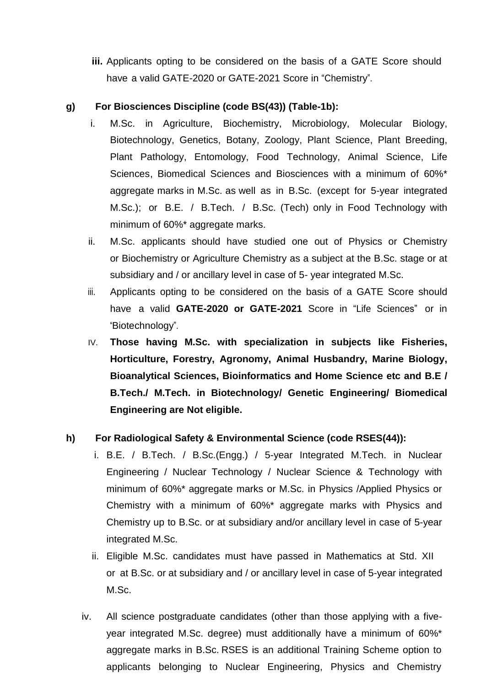**iii.** Applicants opting to be considered on the basis of a GATE Score should have a valid GATE-2020 or GATE-2021 Score in "Chemistry".

### **g) For Biosciences Discipline (code BS(43)) (Table-1b):**

- i. M.Sc. in Agriculture, Biochemistry, Microbiology, Molecular Biology, Biotechnology, Genetics, Botany, Zoology, Plant Science, Plant Breeding, Plant Pathology, Entomology, Food Technology, Animal Science, Life Sciences, Biomedical Sciences and Biosciences with a minimum of 60%\* aggregate marks in M.Sc. as well as in B.Sc. (except for 5-year integrated M.Sc.); or B.E. / B.Tech. / B.Sc. (Tech) only in Food Technology with minimum of 60%\* aggregate marks.
- ii. M.Sc. applicants should have studied one out of Physics or Chemistry or Biochemistry or Agriculture Chemistry as a subject at the B.Sc. stage or at subsidiary and / or ancillary level in case of 5- year integrated M.Sc.
- iii. Applicants opting to be considered on the basis of a GATE Score should have a valid **GATE-2020 or GATE-2021** Score in "Life Sciences" or in "Biotechnology".
- IV. **Those having M.Sc. with specialization in subjects like Fisheries, Horticulture, Forestry, Agronomy, Animal Husbandry, Marine Biology, Bioanalytical Sciences, Bioinformatics and Home Science etc and B.E / B.Tech./ M.Tech. in Biotechnology/ Genetic Engineering/ Biomedical Engineering are Not eligible.**

### **h) For Radiological Safety & Environmental Science (code RSES(44)):**

- i. B.E. / B.Tech. / B.Sc.(Engg.) / 5-year Integrated M.Tech. in Nuclear Engineering / Nuclear Technology / Nuclear Science & Technology with minimum of 60%\* aggregate marks or M.Sc. in Physics /Applied Physics or Chemistry with a minimum of 60%\* aggregate marks with Physics and Chemistry up to B.Sc. or at subsidiary and/or ancillary level in case of 5-year integrated M.Sc.
- ii. Eligible M.Sc. candidates must have passed in Mathematics at Std. XII or at B.Sc. or at subsidiary and / or ancillary level in case of 5-year integrated M.Sc.
- iv. All science postgraduate candidates (other than those applying with a fiveyear integrated M.Sc. degree) must additionally have a minimum of 60%\* aggregate marks in B.Sc. RSES is an additional Training Scheme option to applicants belonging to Nuclear Engineering, Physics and Chemistry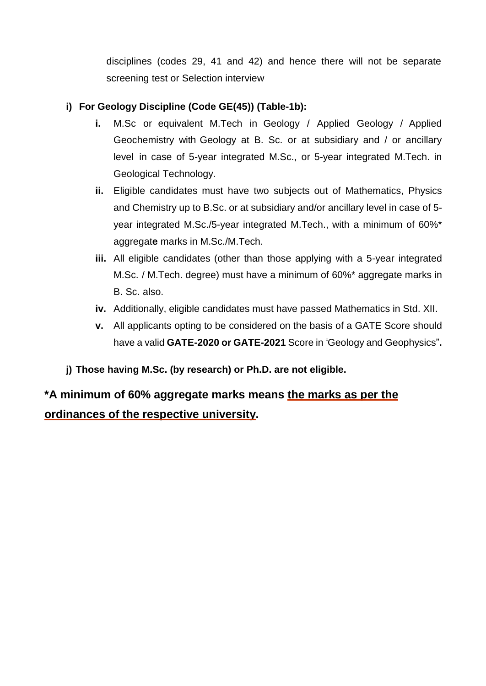disciplines (codes 29, 41 and 42) and hence there will not be separate screening test or Selection interview

### **i) For Geology Discipline (Code GE(45)) (Table-1b):**

- **i.** M.Sc or equivalent M.Tech in Geology / Applied Geology / Applied Geochemistry with Geology at B. Sc. or at subsidiary and / or ancillary level in case of 5-year integrated M.Sc., or 5-year integrated M.Tech. in Geological Technology.
- **ii.** Eligible candidates must have two subjects out of Mathematics, Physics and Chemistry up to B.Sc. or at subsidiary and/or ancillary level in case of 5 year integrated M.Sc./5-year integrated M.Tech., with a minimum of 60%\* aggregat**e** marks in M.Sc./M.Tech.
- **iii.** All eligible candidates (other than those applying with a 5-year integrated M.Sc. / M.Tech. degree) must have a minimum of 60%\* aggregate marks in B. Sc. also.
- **iv.** Additionally, eligible candidates must have passed Mathematics in Std. XII.
- **v.** All applicants opting to be considered on the basis of a GATE Score should have a valid **GATE-2020 or GATE-2021** Score in "Geology and Geophysics"**.**
- **j) Those having M.Sc. (by research) or Ph.D. are not eligible.**

**\*A minimum of 60% aggregate marks means the marks as per the ordinances of the respective university.**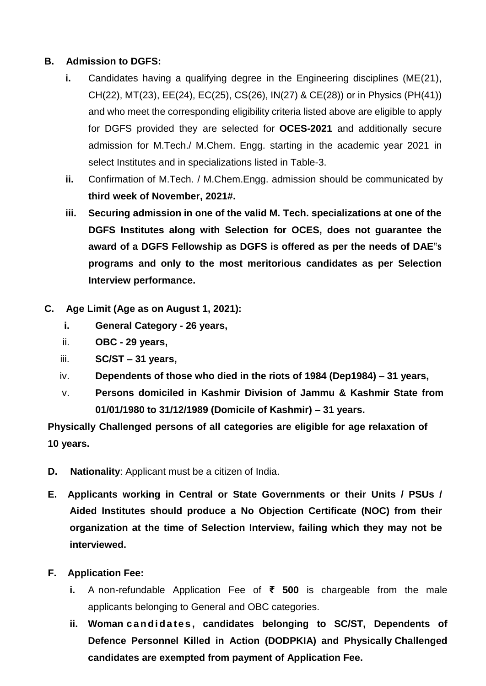### **B. Admission to DGFS:**

- **i.** Candidates having a qualifying degree in the Engineering disciplines (ME(21), CH(22), MT(23), EE(24), EC(25), CS(26), IN(27) & CE(28)) or in Physics (PH(41)) and who meet the corresponding eligibility criteria listed above are eligible to apply for DGFS provided they are selected for **OCES-2021** and additionally secure admission for M.Tech./ M.Chem. Engg. starting in the academic year 2021 in select Institutes and in specializations listed in Table-3.
- **ii.** Confirmation of M.Tech. / M.Chem.Engg. admission should be communicated by **third week of November, 2021#.**
- **iii. Securing admission in one of the valid M. Tech. specializations at one of the DGFS Institutes along with Selection for OCES, does not guarantee the award of a DGFS Fellowship as DGFS is offered as per the needs of DAE"s programs and only to the most meritorious candidates as per Selection Interview performance.**
- **C. Age Limit (Age as on August 1, 2021):**
	- **i. General Category - 26 years,**
	- ii. **OBC - 29 years,**
	- iii. **SC/ST – 31 years,**
	- iv. **Dependents of those who died in the riots of 1984 (Dep1984) – 31 years,**
	- v. **Persons domiciled in Kashmir Division of Jammu & Kashmir State from 01/01/1980 to 31/12/1989 (Domicile of Kashmir) – 31 years.**

**Physically Challenged persons of all categories are eligible for age relaxation of 10 years.**

- **D. Nationality**: Applicant must be a citizen of India.
- **E. Applicants working in Central or State Governments or their Units / PSUs / Aided Institutes should produce a No Objection Certificate (NOC) from their organization at the time of Selection Interview, failing which they may not be interviewed.**

### **F. Application Fee:**

- **i.** A non-refundable Application Fee of **₹ 500** is chargeable from the male applicants belonging to General and OBC categories.
- **ii. Woman c a n di da te s , candidates belonging to SC/ST, Dependents of Defence Personnel Killed in Action (DODPKIA) and Physically Challenged candidates are exempted from payment of Application Fee.**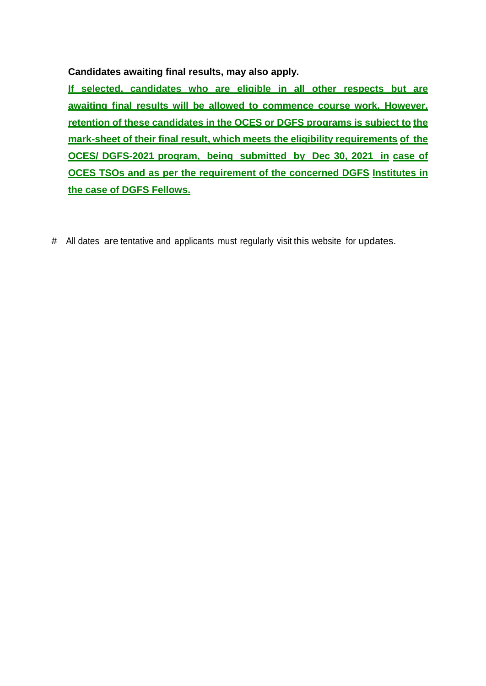**Candidates awaiting final results, may also apply.**

**If selected, candidates who are eligible in all other respects but are awaiting final results will be allowed to commence course work. However, retention of these candidates in the OCES or DGFS programs is subject to the mark-sheet of their final result, which meets the eligibility requirements of the OCES/ DGFS-2021 program, being submitted by Dec 30, 2021 in case of OCES TSOs and as per the requirement of the concerned DGFS Institutes in the case of DGFS Fellows.**

# All dates are tentative and applicants must regularly visit this website for updates.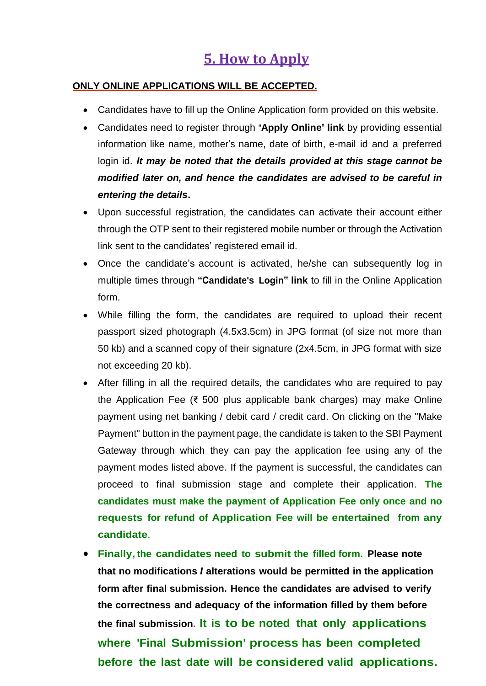## **5. How to Apply**

#### **ONLY ONLINE APPLICATIONS WILL BE ACCEPTED.**

- Candidates have to fill up the Online Application form provided on this website.
- Candidates need to register through **"Apply Online" link** by providing essential information like name, mother's name, date of birth, e-mail id and a preferred login id. *It may be noted that the details provided at this stage cannot be modified later on, and hence the candidates are advised to be careful in entering the details***.**
- Upon successful registration, the candidates can activate their account either through the OTP sent to their registered mobile number or through the Activation link sent to the candidates' registered email id.
- Once the candidate's account is activated, he/she can subsequently log in multiple times through **"Candidate's Login" link** to fill in the Online Application form.
- While filling the form, the candidates are required to upload their recent passport sized photograph (4.5x3.5cm) in JPG format (of size not more than 50 kb) and a scanned copy of their signature (2x4.5cm, in JPG format with size not exceeding 20 kb).
- After filling in all the required details, the candidates who are required to pay the Application Fee (₹ 500 plus applicable bank charges) may make Online payment using net banking / debit card / credit card. On clicking on the "Make Payment" button in the payment page, the candidate is taken to the SBI Payment Gateway through which they can pay the application fee using any of the payment modes listed above. If the payment is successful, the candidates can proceed to final submission stage and complete their application. **The candidates must make the payment of Application Fee only once and no requests for refund of Application Fee will be entertained from any candidate**.
- **Finally, the candidates need to submit the filled form. Please note that no modifications** *I* **alterations would be permitted in the application form after final submission. Hence the candidates are advised to verify the correctness and adequacy of the information filled by them before the final submission. It is to be noted that only applications where 'Final Submission' process has been completed before the last date will be considered valid applications.**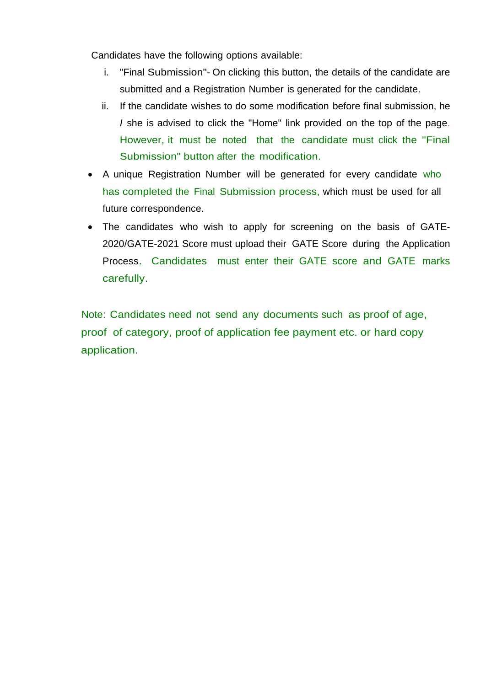Candidates have the following options available:

- i. "Final Submission"- On clicking this button, the details of the candidate are submitted and a Registration Number is generated for the candidate.
- ii. If the candidate wishes to do some modification before final submission, he *I* she is advised to click the "Home" link provided on the top of the page. However, it must be noted that the candidate must click the "Final Submission" button after the modification.
- A unique Registration Number will be generated for every candidate who has completed the Final Submission process, which must be used for all future correspondence.
- The candidates who wish to apply for screening on the basis of GATE-2020/GATE-2021 Score must upload their GATE Score during the Application Process. Candidates must enter their GATE score and GATE marks carefully.

Note: Candidates need not send any documents such as proof of age, proof of category, proof of application fee payment etc. or hard copy application.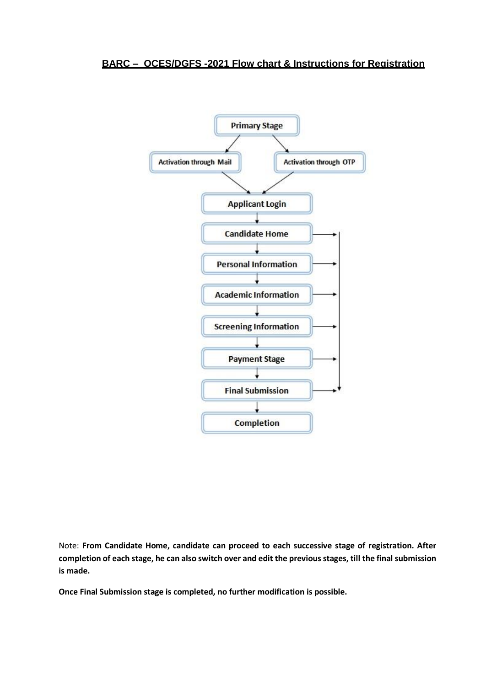#### **BARC – OCES/DGFS -2021 Flow chart & Instructions for Registration**



Note: **From Candidate Home, candidate can proceed to each successive stage of registration. After completion of each stage, he can also switch over and edit the previousstages, till the final submission is made.**

**Once Final Submission stage is completed, no further modification is possible.**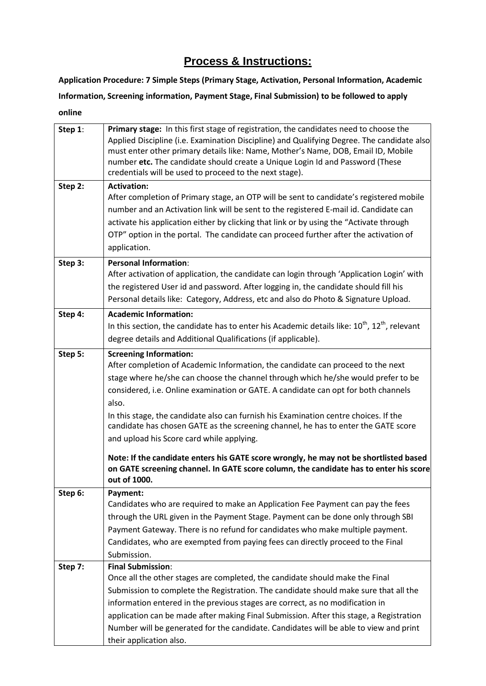## **Process & Instructions:**

**Application Procedure: 7 Simple Steps (Primary Stage, Activation, Personal Information, Academic Information, Screening information, Payment Stage, Final Submission) to be followed to apply online**

| Step 1: | Primary stage: In this first stage of registration, the candidates need to choose the<br>Applied Discipline (i.e. Examination Discipline) and Qualifying Degree. The candidate also<br>must enter other primary details like: Name, Mother's Name, DOB, Email ID, Mobile<br>number etc. The candidate should create a Unique Login Id and Password (These<br>credentials will be used to proceed to the next stage).                                                                                                                                                                                                                                                                                                              |
|---------|-----------------------------------------------------------------------------------------------------------------------------------------------------------------------------------------------------------------------------------------------------------------------------------------------------------------------------------------------------------------------------------------------------------------------------------------------------------------------------------------------------------------------------------------------------------------------------------------------------------------------------------------------------------------------------------------------------------------------------------|
| Step 2: | <b>Activation:</b><br>After completion of Primary stage, an OTP will be sent to candidate's registered mobile<br>number and an Activation link will be sent to the registered E-mail id. Candidate can<br>activate his application either by clicking that link or by using the "Activate through<br>OTP" option in the portal. The candidate can proceed further after the activation of<br>application.                                                                                                                                                                                                                                                                                                                         |
| Step 3: | <b>Personal Information:</b><br>After activation of application, the candidate can login through 'Application Login' with<br>the registered User id and password. After logging in, the candidate should fill his<br>Personal details like: Category, Address, etc and also do Photo & Signature Upload.                                                                                                                                                                                                                                                                                                                                                                                                                          |
| Step 4: | <b>Academic Information:</b><br>In this section, the candidate has to enter his Academic details like: $10^{th}$ , $12^{th}$ , relevant<br>degree details and Additional Qualifications (if applicable).                                                                                                                                                                                                                                                                                                                                                                                                                                                                                                                          |
| Step 5: | <b>Screening Information:</b><br>After completion of Academic Information, the candidate can proceed to the next<br>stage where he/she can choose the channel through which he/she would prefer to be<br>considered, i.e. Online examination or GATE. A candidate can opt for both channels<br>also.<br>In this stage, the candidate also can furnish his Examination centre choices. If the<br>candidate has chosen GATE as the screening channel, he has to enter the GATE score<br>and upload his Score card while applying.<br>Note: If the candidate enters his GATE score wrongly, he may not be shortlisted based<br>on GATE screening channel. In GATE score column, the candidate has to enter his score<br>out of 1000. |
| Step 6: | Payment:<br>Candidates who are required to make an Application Fee Payment can pay the fees<br>through the URL given in the Payment Stage. Payment can be done only through SBI<br>Payment Gateway. There is no refund for candidates who make multiple payment.<br>Candidates, who are exempted from paying fees can directly proceed to the Final<br>Submission.                                                                                                                                                                                                                                                                                                                                                                |
| Step 7: | <b>Final Submission:</b><br>Once all the other stages are completed, the candidate should make the Final<br>Submission to complete the Registration. The candidate should make sure that all the<br>information entered in the previous stages are correct, as no modification in<br>application can be made after making Final Submission. After this stage, a Registration<br>Number will be generated for the candidate. Candidates will be able to view and print<br>their application also.                                                                                                                                                                                                                                  |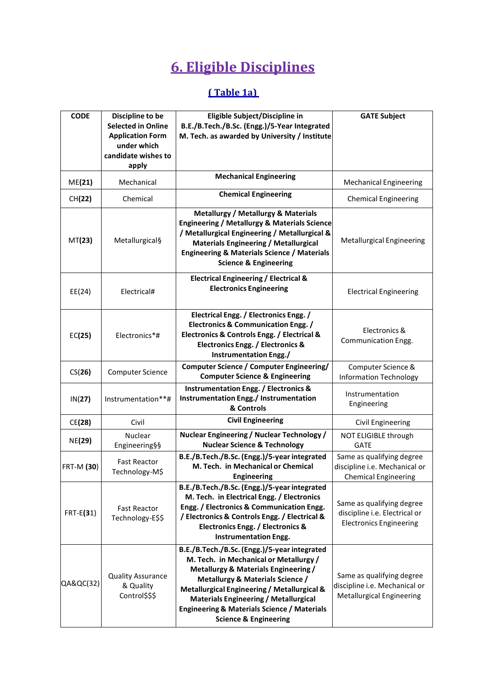# **6. Eligible Disciplines**

## **( Table 1a)**

| <b>CODE</b>   | Discipline to be<br><b>Selected in Online</b><br><b>Application Form</b><br>under which<br>candidate wishes to<br>apply | Eligible Subject/Discipline in<br>B.E./B.Tech./B.Sc. (Engg.)/5-Year Integrated<br>M. Tech. as awarded by University / Institute                                                                                                                                                                                                                                 | <b>GATE Subject</b>                                                                            |
|---------------|-------------------------------------------------------------------------------------------------------------------------|-----------------------------------------------------------------------------------------------------------------------------------------------------------------------------------------------------------------------------------------------------------------------------------------------------------------------------------------------------------------|------------------------------------------------------------------------------------------------|
| ME(21)        | Mechanical                                                                                                              | <b>Mechanical Engineering</b>                                                                                                                                                                                                                                                                                                                                   | <b>Mechanical Engineering</b>                                                                  |
| CH(22)        | Chemical                                                                                                                | <b>Chemical Engineering</b>                                                                                                                                                                                                                                                                                                                                     | <b>Chemical Engineering</b>                                                                    |
| MT(23)        | Metallurgical§                                                                                                          | <b>Metallurgy / Metallurgy &amp; Materials</b><br><b>Engineering / Metallurgy &amp; Materials Science</b><br>/ Metallurgical Engineering / Metallurgical &<br><b>Materials Engineering / Metallurgical</b><br><b>Engineering &amp; Materials Science / Materials</b><br><b>Science &amp; Engineering</b>                                                        | <b>Metallurgical Engineering</b>                                                               |
| EE(24)        | Electrical#                                                                                                             | <b>Electrical Engineering / Electrical &amp;</b><br><b>Electronics Engineering</b>                                                                                                                                                                                                                                                                              | <b>Electrical Engineering</b>                                                                  |
| EC(25)        | Electronics*#                                                                                                           | Electrical Engg. / Electronics Engg. /<br><b>Electronics &amp; Communication Engg. /</b><br>Electronics & Controls Engg. / Electrical &<br><b>Electronics Engg. / Electronics &amp;</b><br>Instrumentation Engg./                                                                                                                                               | Electronics &<br>Communication Engg.                                                           |
| CS(26)        | <b>Computer Science</b>                                                                                                 | <b>Computer Science / Computer Engineering/</b><br><b>Computer Science &amp; Engineering</b>                                                                                                                                                                                                                                                                    | Computer Science &<br><b>Information Technology</b>                                            |
| IN(27)        | Instrumentation**#                                                                                                      | <b>Instrumentation Engg. / Electronics &amp;</b><br>Instrumentation Engg./ Instrumentation<br>& Controls                                                                                                                                                                                                                                                        | Instrumentation<br>Engineering                                                                 |
| CE(28)        | Civil                                                                                                                   | <b>Civil Engineering</b>                                                                                                                                                                                                                                                                                                                                        | Civil Engineering                                                                              |
| <b>NE(29)</b> | Nuclear<br>Engineering§§                                                                                                | Nuclear Engineering / Nuclear Technology /<br><b>Nuclear Science &amp; Technology</b>                                                                                                                                                                                                                                                                           | NOT ELIGIBLE through<br><b>GATE</b>                                                            |
| FRT-M (30)    | <b>Fast Reactor</b><br>Technology-M\$                                                                                   | B.E./B.Tech./B.Sc. (Engg.)/5-year integrated<br>M. Tech. in Mechanical or Chemical<br><b>Engineering</b>                                                                                                                                                                                                                                                        | Same as qualifying degree<br>discipline i.e. Mechanical or<br><b>Chemical Engineering</b>      |
| $FRT-E(31)$   | <b>Fast Reactor</b><br>Technology-E\$\$                                                                                 | B.E./B.Tech./B.Sc. (Engg.)/5-year integrated<br>M. Tech. in Electrical Engg. / Electronics<br>Engg. / Electronics & Communication Engg.<br>/ Electronics & Controls Engg. / Electrical &<br><b>Electronics Engg. / Electronics &amp;</b><br><b>Instrumentation Engg.</b>                                                                                        | Same as qualifying degree<br>discipline i.e. Electrical or<br><b>Electronics Engineering</b>   |
| QA&QC(32)     | <b>Quality Assurance</b><br>& Quality<br>Control\$\$\$                                                                  | B.E./B.Tech./B.Sc. (Engg.)/5-year integrated<br>M. Tech. in Mechanical or Metallurgy /<br>Metallurgy & Materials Engineering /<br>Metallurgy & Materials Science /<br>Metallurgical Engineering / Metallurgical &<br><b>Materials Engineering / Metallurgical</b><br><b>Engineering &amp; Materials Science / Materials</b><br><b>Science &amp; Engineering</b> | Same as qualifying degree<br>discipline i.e. Mechanical or<br><b>Metallurgical Engineering</b> |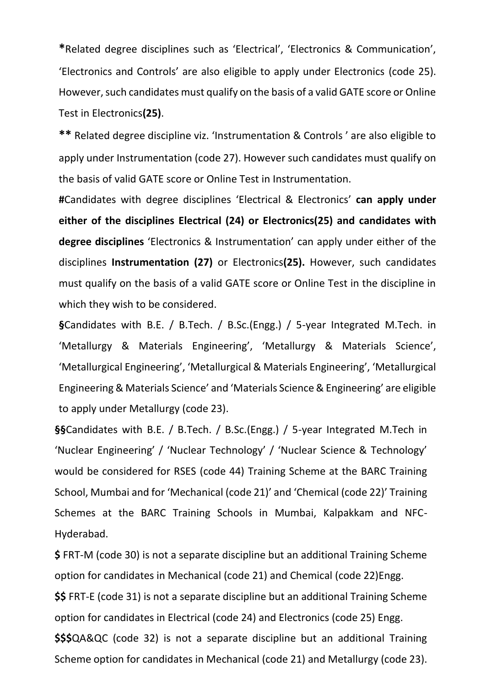**\***Related degree disciplines such as 'Electrical', 'Electronics & Communication', 'Electronics and Controls' are also eligible to apply under Electronics (code 25). However, such candidates must qualify on the basis of a valid GATE score or Online Test in Electronics**(25)**.

**\*\*** Related degree discipline viz. 'Instrumentation & Controls ' are also eligible to apply under Instrumentation (code 27). However such candidates must qualify on the basis of valid GATE score or Online Test in Instrumentation.

**#**Candidates with degree disciplines 'Electrical & Electronics' **can apply under either of the disciplines Electrical (24) or Electronics(25) and candidates with degree disciplines** 'Electronics & Instrumentation' can apply under either of the disciplines **Instrumentation (27)** or Electronics**(25).** However, such candidates must qualify on the basis of a valid GATE score or Online Test in the discipline in which they wish to be considered.

**§**Candidates with B.E. / B.Tech. / B.Sc.(Engg.) / 5-year Integrated M.Tech. in 'Metallurgy & Materials Engineering', 'Metallurgy & Materials Science', 'Metallurgical Engineering', 'Metallurgical & Materials Engineering', 'Metallurgical Engineering & Materials Science' and 'Materials Science & Engineering' are eligible to apply under Metallurgy (code 23).

**§§**Candidates with B.E. / B.Tech. / B.Sc.(Engg.) / 5-year Integrated M.Tech in 'Nuclear Engineering' / 'Nuclear Technology' / 'Nuclear Science & Technology' would be considered for RSES (code 44) Training Scheme at the BARC Training School, Mumbai and for 'Mechanical (code 21)' and 'Chemical (code 22)' Training Schemes at the BARC Training Schools in Mumbai, Kalpakkam and NFC-Hyderabad.

**\$** FRT-M (code 30) is not a separate discipline but an additional Training Scheme option for candidates in Mechanical (code 21) and Chemical (code 22)Engg.

**\$\$** FRT-E (code 31) is not a separate discipline but an additional Training Scheme option for candidates in Electrical (code 24) and Electronics (code 25) Engg.

**\$\$\$**QA&QC (code 32) is not a separate discipline but an additional Training Scheme option for candidates in Mechanical (code 21) and Metallurgy (code 23).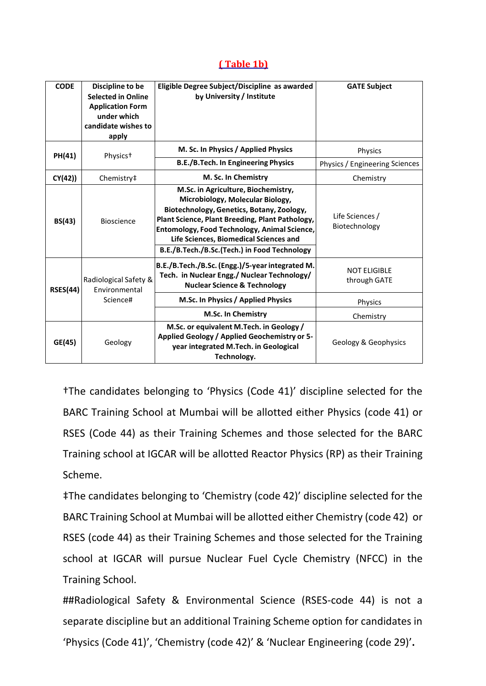#### **( Table 1b)**

| <b>CODE</b>     | Discipline to be<br><b>Selected in Online</b><br><b>Application Form</b><br>under which<br>candidate wishes to<br>apply | Eligible Degree Subject/Discipline as awarded<br>by University / Institute                                                                                                                                                                                                                                        | <b>GATE Subject</b>                 |
|-----------------|-------------------------------------------------------------------------------------------------------------------------|-------------------------------------------------------------------------------------------------------------------------------------------------------------------------------------------------------------------------------------------------------------------------------------------------------------------|-------------------------------------|
| PH(41)          | Physics <sup>+</sup>                                                                                                    | M. Sc. In Physics / Applied Physics                                                                                                                                                                                                                                                                               | Physics                             |
|                 |                                                                                                                         | B.E./B.Tech. In Engineering Physics                                                                                                                                                                                                                                                                               | Physics / Engineering Sciences      |
| CY(42)          | Chemistry‡                                                                                                              | M. Sc. In Chemistry                                                                                                                                                                                                                                                                                               | Chemistry                           |
| BS(43)          | <b>Bioscience</b>                                                                                                       | M.Sc. in Agriculture, Biochemistry,<br>Microbiology, Molecular Biology,<br>Biotechnology, Genetics, Botany, Zoology,<br>Plant Science, Plant Breeding, Plant Pathology,<br>Entomology, Food Technology, Animal Science,<br>Life Sciences, Biomedical Sciences and<br>B.E./B.Tech./B.Sc.(Tech.) in Food Technology | Life Sciences /<br>Biotechnology    |
| <b>RSES(44)</b> | Radiological Safety &<br>Environmental<br>Science#                                                                      | B.E./B.Tech./B.Sc. (Engg.)/5-year integrated M.<br>Tech. in Nuclear Engg./ Nuclear Technology/<br><b>Nuclear Science &amp; Technology</b>                                                                                                                                                                         | <b>NOT ELIGIBLE</b><br>through GATE |
|                 |                                                                                                                         | M.Sc. In Physics / Applied Physics                                                                                                                                                                                                                                                                                | Physics                             |
|                 |                                                                                                                         | M.Sc. In Chemistry                                                                                                                                                                                                                                                                                                | Chemistry                           |
| GE(45)          | Geology                                                                                                                 | M.Sc. or equivalent M.Tech. in Geology /<br>Applied Geology / Applied Geochemistry or 5-<br>year integrated M.Tech. in Geological<br>Technology.                                                                                                                                                                  | Geology & Geophysics                |

†The candidates belonging to 'Physics (Code 41)' discipline selected for the BARC Training School at Mumbai will be allotted either Physics (code 41) or RSES (Code 44) as their Training Schemes and those selected for the BARC Training school at IGCAR will be allotted Reactor Physics (RP) as their Training Scheme.

‡The candidates belonging to 'Chemistry (code 42)' discipline selected for the BARC Training School at Mumbai will be allotted either Chemistry (code 42) or RSES (code 44) as their Training Schemes and those selected for the Training school at IGCAR will pursue Nuclear Fuel Cycle Chemistry (NFCC) in the Training School.

##Radiological Safety & Environmental Science (RSES-code 44) is not a separate discipline but an additional Training Scheme option for candidates in 'Physics (Code 41)', 'Chemistry (code 42)' & 'Nuclear Engineering (code 29)'**.**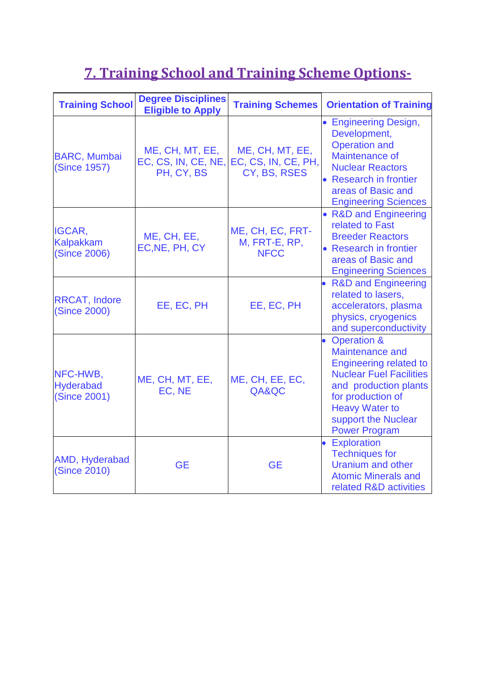# **7. Training School and Training Scheme Options-**

| <b>Training School</b>                            | <b>Degree Disciplines</b><br><b>Eligible to Apply</b> | <b>Training Schemes</b>                                | <b>Orientation of Training</b>                                                                                                                                                                                                     |
|---------------------------------------------------|-------------------------------------------------------|--------------------------------------------------------|------------------------------------------------------------------------------------------------------------------------------------------------------------------------------------------------------------------------------------|
| <b>BARC, Mumbai</b><br><b>(Since 1957)</b>        | ME, CH, MT, EE,<br>EC, CS, IN, CE, NE,<br>PH, CY, BS  | ME, CH, MT, EE,<br>EC, CS, IN, CE, PH,<br>CY, BS, RSES | • Engineering Design,<br>Development,<br><b>Operation and</b><br>Maintenance of<br><b>Nuclear Reactors</b><br>• Research in frontier<br>areas of Basic and<br><b>Engineering Sciences</b>                                          |
| IGCAR,<br><b>Kalpakkam</b><br><b>(Since 2006)</b> | ME, CH, EE,<br>EC, NE, PH, CY                         | ME, CH, EC, FRT-<br>M, FRT-E, RP,<br><b>NFCC</b>       | • R&D and Engineering<br>related to Fast<br><b>Breeder Reactors</b><br>• Research in frontier<br>areas of Basic and<br><b>Engineering Sciences</b>                                                                                 |
| <b>RRCAT, Indore</b><br><b>(Since 2000)</b>       | EE, EC, PH                                            | EE, EC, PH                                             | <b>R&amp;D and Engineering</b><br>related to lasers,<br>accelerators, plasma<br>physics, cryogenics<br>and superconductivity                                                                                                       |
| NFC-HWB,<br><b>Hyderabad</b><br>(Since 2001)      | ME, CH, MT, EE,<br>EC, NE                             | ME, CH, EE, EC,<br>QA&QC                               | <b>Operation &amp;</b><br>Maintenance and<br><b>Engineering related to</b><br><b>Nuclear Fuel Facilities</b><br>and production plants<br>for production of<br><b>Heavy Water to</b><br>support the Nuclear<br><b>Power Program</b> |
| AMD, Hyderabad<br>(Since 2010)                    | <b>GE</b>                                             | <b>GE</b>                                              | <b>Exploration</b><br><b>Techniques for</b><br><b>Uranium and other</b><br><b>Atomic Minerals and</b><br>related R&D activities                                                                                                    |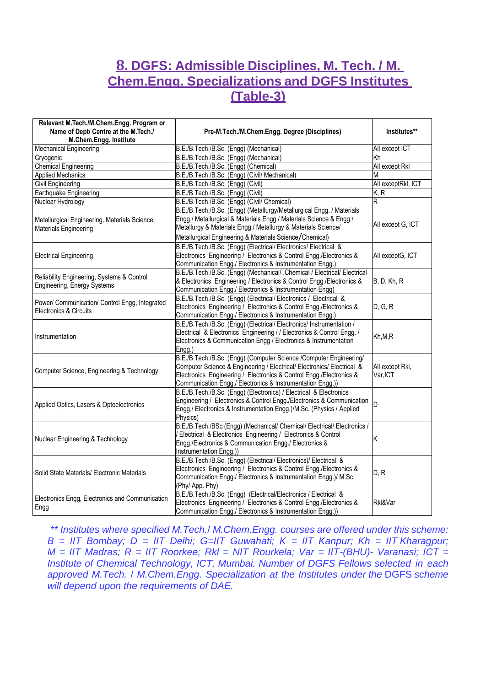## **8. DGFS: Admissible Disciplines, M. Tech. / M. Chem.Engg. Specializations and DGFS Institutes (Table-3)**

| Relevant M.Tech./M.Chem.Engg. Program or                                         |                                                                                                                                                                                                                                                                                   |                             |
|----------------------------------------------------------------------------------|-----------------------------------------------------------------------------------------------------------------------------------------------------------------------------------------------------------------------------------------------------------------------------------|-----------------------------|
| Name of Dept/ Centre at the M.Tech./                                             | Pre-M.Tech./M.Chem.Engg. Degree (Disciplines)                                                                                                                                                                                                                                     | Institutes**                |
| M.Chem.Engg. Institute                                                           |                                                                                                                                                                                                                                                                                   |                             |
| <b>Mechanical Engineering</b>                                                    | B.E./B.Tech./B.Sc. (Engg) (Mechanical)                                                                                                                                                                                                                                            | All except ICT              |
| Cryogenic                                                                        | B.E./B.Tech./B.Sc. (Engg) (Mechanical)                                                                                                                                                                                                                                            | Κh                          |
| <b>Chemical Engineering</b>                                                      | B.E./B.Tech./B.Sc. (Engg) (Chemical)                                                                                                                                                                                                                                              | All except Rkl              |
| <b>Applied Mechanics</b>                                                         | B.E./B.Tech./B.Sc. (Engg) (Civil/ Mechanical)                                                                                                                                                                                                                                     | M                           |
| Civil Engineering                                                                | B.E./B.Tech./B.Sc. (Engg) (Civil)                                                                                                                                                                                                                                                 | All exceptRkl, ICT          |
| Earthquake Engineering                                                           | B.E./B.Tech./B.Sc. (Engg) (Civil)                                                                                                                                                                                                                                                 | K, R                        |
| Nuclear Hydrology                                                                | B.E./B.Tech./B.Sc. (Engg) (Civil/ Chemical)                                                                                                                                                                                                                                       | R                           |
| Metallurgical Engineering, Materials Science,<br>Materials Engineering           | B.E./B.Tech./B.Sc. (Engg) (Metallurgy/Metallurgical Engg. / Materials<br>Engg./ Metallurgical & Materials Engg./ Materials Science & Engg./<br>Metallurgy & Materials Engg./ Metallurgy & Materials Science/<br>Metallurgical Engineering & Materials Science/Chemical)           | All except G, ICT           |
| <b>Electrical Engineering</b>                                                    | B.E./B.Tech./B.Sc. (Engg) (Electrical/ Electronics/ Electrical &<br>Electronics Engineering / Electronics & Control Engg./Electronics &<br>Communication Engg./ Electronics & Instrumentation Engg.)                                                                              | All exceptG, ICT            |
| Reliability Engineering, Systems & Control<br><b>Engineering, Energy Systems</b> | B.E./B.Tech./B.Sc. (Engg) (Mechanical/ .Chemical / Electrical/ Electrical<br>& Electronics Engineering / Electronics & Control Engg./Electronics &<br>Communication Engg./ Electronics & Instrumentation Engg)                                                                    | <b>B</b> , D, Kh, R         |
| Power/ Communication/ Control Engg, Integrated<br>Electronics & Circuits         | B.E./B.Tech./B.Sc. (Engg) (Electrical/ Electronics / Electrical &<br>Electronics Engineering / Electronics & Control Engg./Electronics &<br>Communication Engg./ Electronics & Instrumentation Engg.)                                                                             | D, G, R                     |
| Instrumentation                                                                  | B.E./B.Tech./B.Sc. (Engg) (Electrical/ Electronics/ Instrumentation /<br>Electrical & Electronics Engineering / / Electronics & Control Engg. /<br>Electronics & Communication Engg./ Electronics & Instrumentation<br>Engg.)                                                     | Kh,M,R                      |
| Computer Science, Engineering & Technology                                       | B.E./B.Tech./B.Sc. (Engg) (Computer Science /Computer Engineering/<br>Computer Science & Engineering / Electrical/ Electronics/ Electrical &<br>Electronics Engineering / Electronics & Control Engg./Electronics &<br>Communication Engg./ Electronics & Instrumentation Engg.)) | All except Rkl,<br>Var, ICT |
| Applied Optics, Lasers & Optoelectronics                                         | B.E./B.Tech./B.Sc. (Engg) (Electronics) / Electrical & Electronics<br>Engineering / Electronics & Control Engg./Electronics & Communication<br>Engg./ Electronics & Instrumentation Engg.)/M.Sc. (Physics / Applied<br>Physics)                                                   | D                           |
| Nuclear Engineering & Technology                                                 | B.E./B.Tech./BSc (Engg) (Mechanical/ Chemical/ Electrical/ Electronics /<br>Electrical & Electronics Engineering / Electronics & Control<br>Engg./Electronics & Communication Engg./ Electronics &<br>Instrumentation Engg.))                                                     | Κ                           |
| Solid State Materials/ Electronic Materials                                      | B.E./B.Tech./B.Sc. (Engg) (Electrical/ Electronics)/ Electrical &<br>Electronics Engineering / Electronics & Control Engg./Electronics &<br>Communication Engg./ Electronics & Instrumentation Engg.)/ M.Sc.<br>(Phy/ App. Phy)                                                   | D, R                        |
| Electronics Engg, Electronics and Communication<br>Engg                          | B.E./B.Tech./B.Sc. (Engg) (Electrical/Electronics / Electrical &<br>Electronics Engineering / Electronics & Control Engg./Electronics &<br>Communication Engg./ Electronics & Instrumentation Engg.))                                                                             | Rkl&Var                     |

*\*\* Institutes where specified M.Tech.*/ *M.Chem.Engg. courses are offered under this scheme: B = IIT Bombay; D = IIT Delhi; G=IIT Guwahati; K = IIT Kanpur; Kh = IIT Kharagpur; M = IIT Madras; R = IIT Roorkee; Rkl = NIT Rourkela; Var = IIT-(BHU)- Varanasi; ICT = Institute of Chemical Technology, ICT, Mumbai. Number of DGFS Fellows selected in each approved M.Tech.* / *M.Chem.Engg. Specialization at the Institutes under the* DGFS *scheme will depend upon the requirements of DAE.*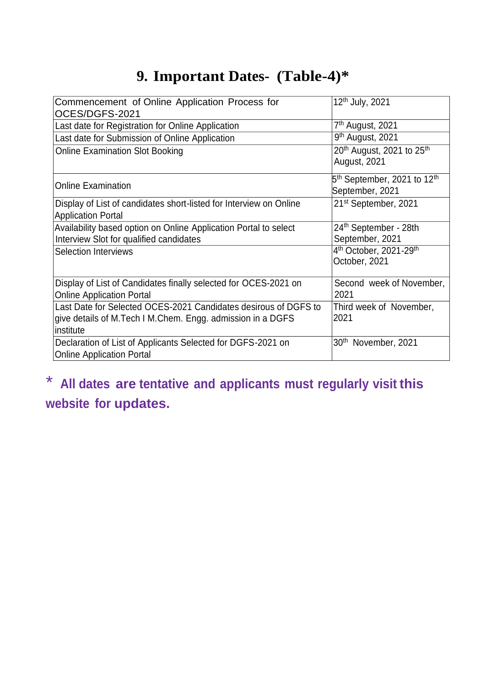# **9. Important Dates- (Table-4)\***

| Commencement of Online Application Process for<br>OCES/DGFS-2021                                                                           | 12 <sup>th</sup> July, 2021                                            |
|--------------------------------------------------------------------------------------------------------------------------------------------|------------------------------------------------------------------------|
| Last date for Registration for Online Application                                                                                          | 7 <sup>th</sup> August, 2021                                           |
| Last date for Submission of Online Application                                                                                             | 9 <sup>th</sup> August, 2021                                           |
| <b>Online Examination Slot Booking</b>                                                                                                     | 20 <sup>th</sup> August, 2021 to 25 <sup>th</sup><br>August, 2021      |
| <b>Online Examination</b>                                                                                                                  | 5 <sup>th</sup> September, 2021 to 12 <sup>th</sup><br>September, 2021 |
| Display of List of candidates short-listed for Interview on Online<br><b>Application Portal</b>                                            | 21 <sup>st</sup> September, 2021                                       |
| Availability based option on Online Application Portal to select<br>Interview Slot for qualified candidates                                | 24th September - 28th<br>September, 2021                               |
| <b>Selection Interviews</b>                                                                                                                | 4 <sup>th</sup> October, 2021-29 <sup>th</sup><br>October, 2021        |
| Display of List of Candidates finally selected for OCES-2021 on<br><b>Online Application Portal</b>                                        | Second week of November,<br>2021                                       |
| Last Date for Selected OCES-2021 Candidates desirous of DGFS to<br>give details of M.Tech I M.Chem. Engg. admission in a DGFS<br>institute | Third week of November,<br>2021                                        |
| Declaration of List of Applicants Selected for DGFS-2021 on<br><b>Online Application Portal</b>                                            | 30 <sup>th</sup> November, 2021                                        |

# \* **All dates are tentative and applicants must regularly visit this website for updates.**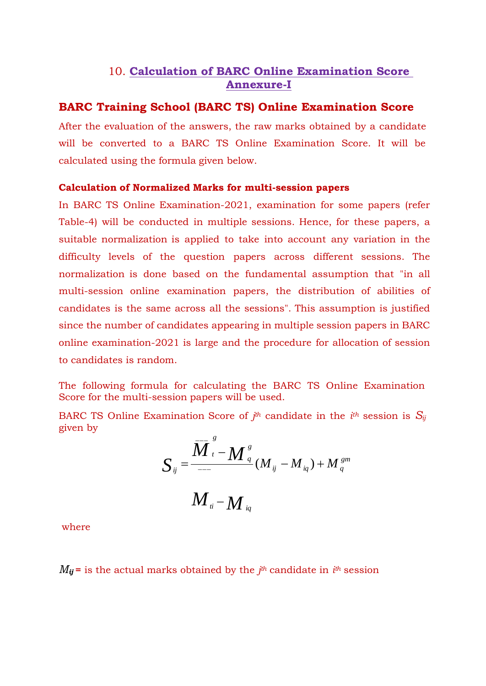### 10. **Calculation of BARC Online Examination Score Annexure-I**

#### **BARC Training School (BARC TS) Online Examination Score**

After the evaluation of the answers, the raw marks obtained by a candidate will be converted to a BARC TS Online Examination Score. It will be calculated using the formula given below.

#### **Calculation of Normalized Marks for multi-session papers**

In BARC TS Online Examination-2021, examination for some papers (refer Table-4) will be conducted in multiple sessions. Hence, for these papers, a suitable normalization is applied to take into account any variation in the difficulty levels of the question papers across different sessions. The normalization is done based on the fundamental assumption that "in all multi-session online examination papers, the distribution of abilities of candidates is the same across all the sessions". This assumption is justified since the number of candidates appearing in multiple session papers in BARC online examination-2021 is large and the procedure for allocation of session to candidates is random.

The following formula for calculating the BARC TS Online Examination Score for the multi-session papers will be used.

BARC TS Online Examination Score of  $j<sup>th</sup>$  candidate in the  $i<sup>th</sup>$  session is  $S_i$ given by *g*

$$
S_{ij} = \frac{\overline{M}_{i}^{\frac{g}{s}} - M_{\frac{q}{q}}^{\frac{g}{s}}}{M_{ii} - M_{iq}} (M_{ij} - M_{iq}) + M_{\frac{gm}{q}}
$$

where

 $M_{ij}$  = is the actual marks obtained by the  $j<sup>th</sup>$  candidate in  $i<sup>th</sup>$  session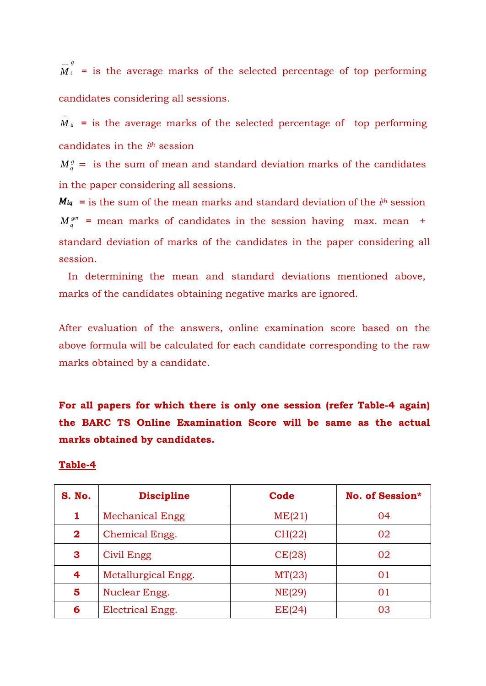−− *g M <sup>t</sup>* = is the average marks of the selected percentage of top performing candidates considering all sessions.

 $\overline{M}_{ti}$  = is the average marks of the selected percentage of top performing candidates in the *i th* session

 $M_{q}^{\mathit{g}}=$  is the sum of mean and standard deviation marks of the candidates in the paper considering all sessions.

 $M_q^{\text{gm}}$  = mean marks of candidates in the session having max. mean + **=** is the sum of the mean marks and standard deviation of the *i th* session standard deviation of marks of the candidates in the paper considering all session.

In determining the mean and standard deviations mentioned above, marks of the candidates obtaining negative marks are ignored.

After evaluation of the answers, online examination score based on the above formula will be calculated for each candidate corresponding to the raw marks obtained by a candidate.

**For all papers for which there is only one session (refer Table-4 again) the BARC TS Online Examination Score will be same as the actual marks obtained by candidates.**

#### **Table-4**

| S. No.       | <b>Discipline</b>      | Code   | <b>No. of Session*</b> |
|--------------|------------------------|--------|------------------------|
| 1            | <b>Mechanical Engg</b> | ME(21) | 04                     |
| $\mathbf{2}$ | Chemical Engg.         | CH(22) | 02                     |
| 3            | Civil Engg             | CE(28) | 02                     |
| 4            | Metallurgical Engg.    | MT(23) | 01                     |
| 5            | Nuclear Engg.          | NE(29) | 01                     |
| 6            | Electrical Engg.       | EE(24) | 03                     |